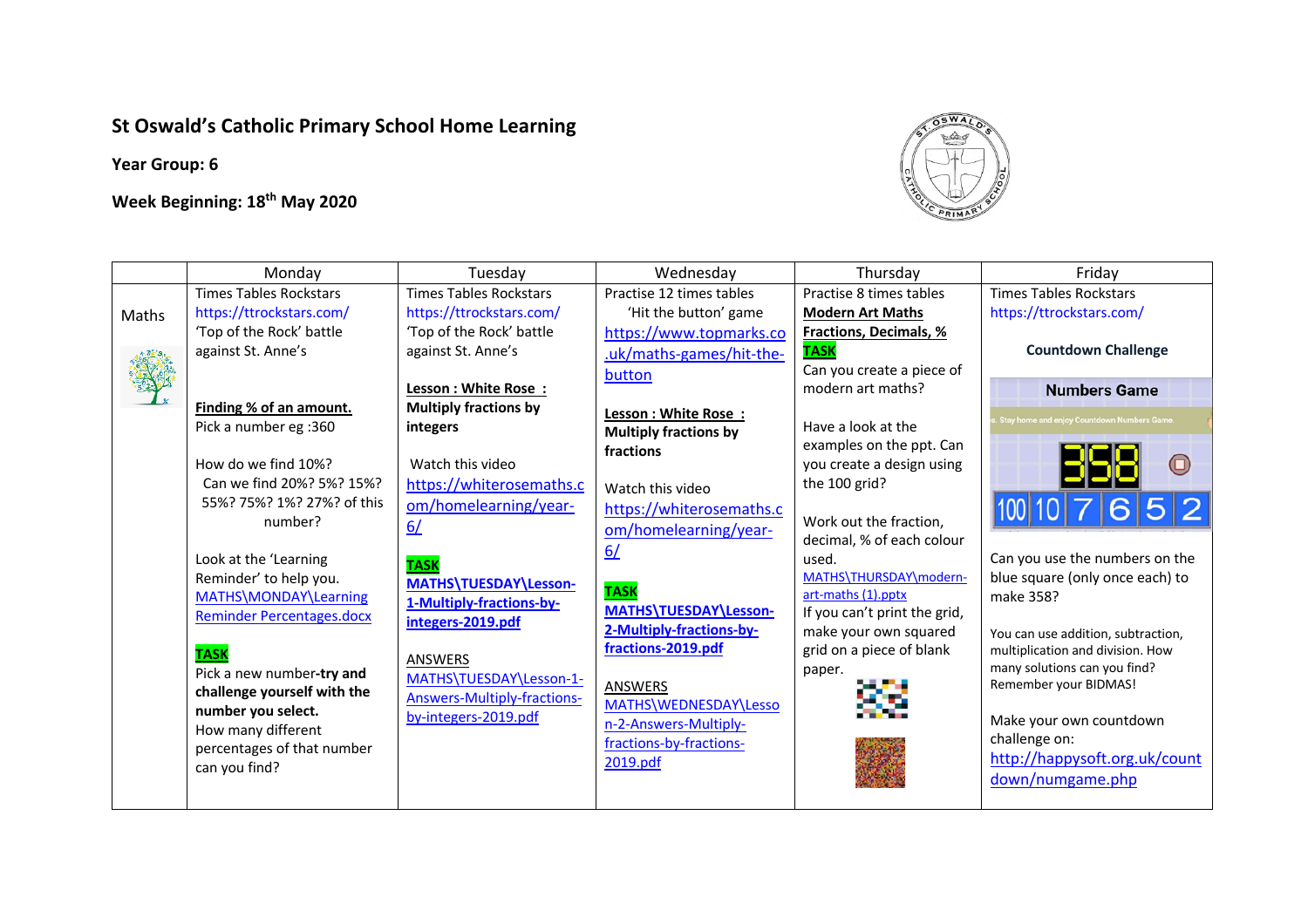## **St Oswald's Catholic Primary School Home Learning**

**Year Group: 6**

## **Week Beginning: 18th May 2020**



|       | Monday                                                                                                                                                                                                     | Tuesday                                                                                                                                                                    | Wednesday                                                                                                                                                                             | Thursday                                                                                                                                                     | Friday                                                                                                                                                                                                                      |
|-------|------------------------------------------------------------------------------------------------------------------------------------------------------------------------------------------------------------|----------------------------------------------------------------------------------------------------------------------------------------------------------------------------|---------------------------------------------------------------------------------------------------------------------------------------------------------------------------------------|--------------------------------------------------------------------------------------------------------------------------------------------------------------|-----------------------------------------------------------------------------------------------------------------------------------------------------------------------------------------------------------------------------|
|       | <b>Times Tables Rockstars</b>                                                                                                                                                                              | <b>Times Tables Rockstars</b>                                                                                                                                              | Practise 12 times tables                                                                                                                                                              | Practise 8 times tables                                                                                                                                      | <b>Times Tables Rockstars</b>                                                                                                                                                                                               |
| Maths | https://ttrockstars.com/                                                                                                                                                                                   | https://ttrockstars.com/                                                                                                                                                   | 'Hit the button' game                                                                                                                                                                 | <b>Modern Art Maths</b>                                                                                                                                      | https://ttrockstars.com/                                                                                                                                                                                                    |
|       | 'Top of the Rock' battle<br>against St. Anne's                                                                                                                                                             | 'Top of the Rock' battle<br>against St. Anne's                                                                                                                             | https://www.topmarks.co<br>.uk/maths-games/hit-the-<br>button                                                                                                                         | <b>Fractions, Decimals, %</b><br><b>TASK</b><br>Can you create a piece of                                                                                    | <b>Countdown Challenge</b>                                                                                                                                                                                                  |
|       |                                                                                                                                                                                                            | Lesson: White Rose:                                                                                                                                                        |                                                                                                                                                                                       | modern art maths?                                                                                                                                            | <b>Numbers Game</b>                                                                                                                                                                                                         |
|       | Finding % of an amount.<br>Pick a number eg :360<br>How do we find 10%?<br>Can we find 20%? 5%? 15%?<br>55%? 75%? 1%? 27%? of this<br>number?<br>Look at the 'Learning                                     | <b>Multiply fractions by</b><br>integers<br>Watch this video<br>https://whiterosemaths.c<br>om/homelearning/year-<br>6/<br><b>TASK</b>                                     | Lesson : White Rose :<br><b>Multiply fractions by</b><br>fractions<br>Watch this video<br>https://whiterosemaths.c<br>om/homelearning/year-<br>6/                                     | Have a look at the<br>examples on the ppt. Can<br>you create a design using<br>the 100 grid?<br>Work out the fraction,<br>decimal, % of each colour<br>used. | Stay home and enjoy Countdown Numbers Game.<br>Can you use the numbers on the                                                                                                                                               |
|       | Reminder' to help you.<br>MATHS\MONDAY\Learning<br><b>Reminder Percentages.docx</b><br><b>TASK</b><br>Pick a new number-try and<br>challenge yourself with the<br>number you select.<br>How many different | MATHS\TUESDAY\Lesson-<br>1-Multiply-fractions-by-<br>integers-2019.pdf<br>ANSWERS<br>MATHS\TUESDAY\Lesson-1-<br><b>Answers-Multiply-fractions-</b><br>by-integers-2019.pdf | <b>TASK</b><br>MATHS\TUESDAY\Lesson-<br>2-Multiply-fractions-by-<br>fractions-2019.pdf<br><b>ANSWERS</b><br>MATHS\WEDNESDAY\Lesso<br>n-2-Answers-Multiply-<br>fractions-by-fractions- | MATHS\THURSDAY\modern-<br>art-maths (1).pptx<br>If you can't print the grid,<br>make your own squared<br>grid on a piece of blank<br>paper.                  | blue square (only once each) to<br>make 358?<br>You can use addition, subtraction,<br>multiplication and division. How<br>many solutions can you find?<br>Remember your BIDMAS!<br>Make your own countdown<br>challenge on: |
|       | percentages of that number<br>can you find?                                                                                                                                                                |                                                                                                                                                                            | 2019.pdf                                                                                                                                                                              |                                                                                                                                                              | http://happysoft.org.uk/count<br>down/numgame.php                                                                                                                                                                           |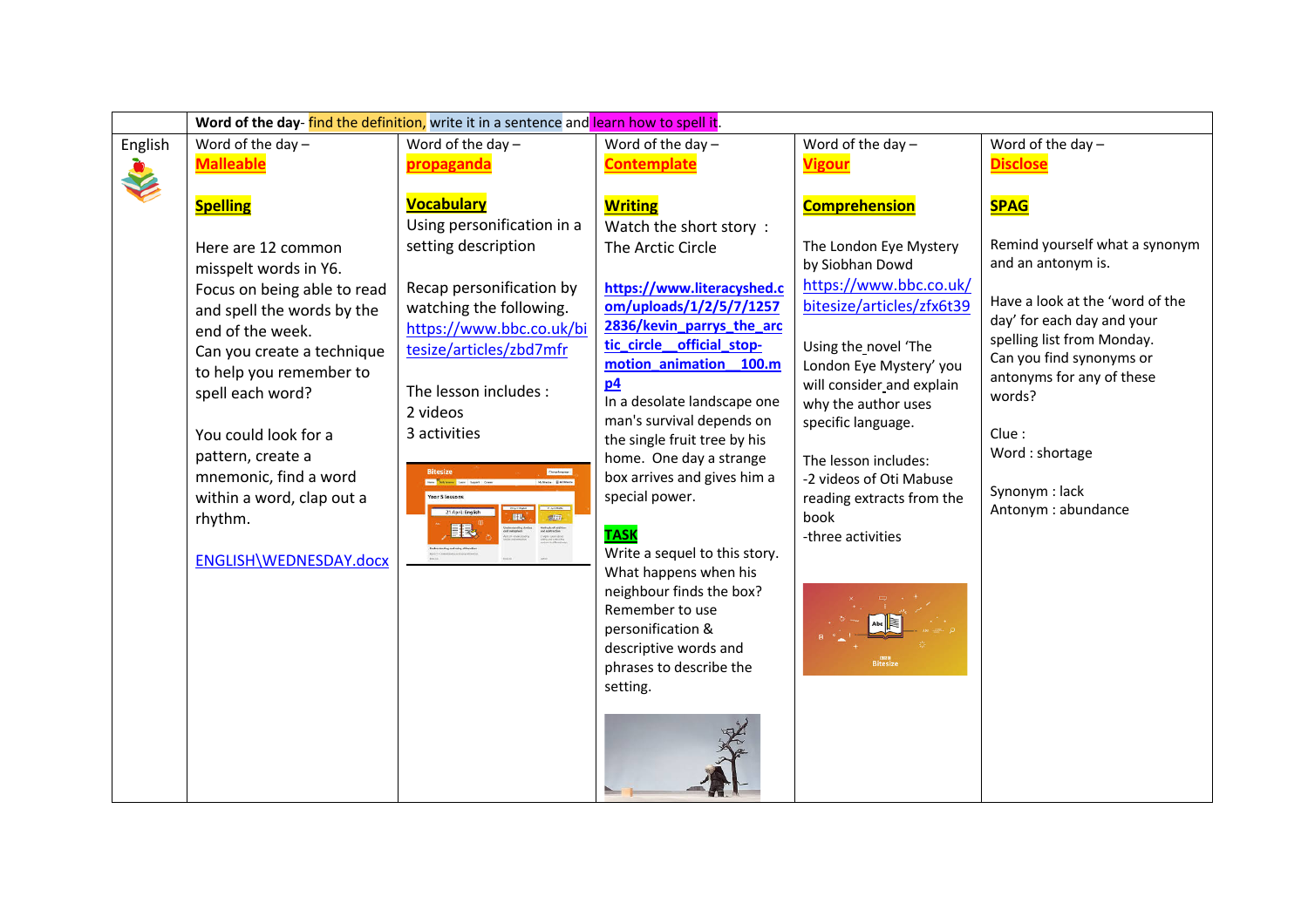|         | Word of the day-find the definition, write it in a sentence and learn how to spell it.                                                 |                                                                                                                                                                                                                                                                                              |                                                                                                                                                                                                                                                                                                                                                                                                                                                         |                                                                                                                                                                                                                                        |                                                                                                                                                                                                                                  |                                            |                   |  |
|---------|----------------------------------------------------------------------------------------------------------------------------------------|----------------------------------------------------------------------------------------------------------------------------------------------------------------------------------------------------------------------------------------------------------------------------------------------|---------------------------------------------------------------------------------------------------------------------------------------------------------------------------------------------------------------------------------------------------------------------------------------------------------------------------------------------------------------------------------------------------------------------------------------------------------|----------------------------------------------------------------------------------------------------------------------------------------------------------------------------------------------------------------------------------------|----------------------------------------------------------------------------------------------------------------------------------------------------------------------------------------------------------------------------------|--------------------------------------------|-------------------|--|
| English | Word of the day $-$                                                                                                                    | Word of the day $-$                                                                                                                                                                                                                                                                          | Word of the day $-$                                                                                                                                                                                                                                                                                                                                                                                                                                     | Word of the day $-$                                                                                                                                                                                                                    | Word of the day $-$                                                                                                                                                                                                              |                                            |                   |  |
|         | <b>Malleable</b>                                                                                                                       | propaganda                                                                                                                                                                                                                                                                                   | <b>Contemplate</b>                                                                                                                                                                                                                                                                                                                                                                                                                                      | <b>Vigour</b>                                                                                                                                                                                                                          | <b>Disclose</b>                                                                                                                                                                                                                  |                                            |                   |  |
|         | <b>Spelling</b>                                                                                                                        | <b>Vocabulary</b><br>Using personification in a                                                                                                                                                                                                                                              | <b>Writing</b><br>Watch the short story:                                                                                                                                                                                                                                                                                                                                                                                                                | <b>Comprehension</b>                                                                                                                                                                                                                   | <b>SPAG</b>                                                                                                                                                                                                                      |                                            |                   |  |
|         | Here are 12 common<br>misspelt words in Y6.                                                                                            | setting description                                                                                                                                                                                                                                                                          | The Arctic Circle                                                                                                                                                                                                                                                                                                                                                                                                                                       | The London Eye Mystery<br>by Siobhan Dowd<br>https://www.bbc.co.uk/                                                                                                                                                                    | Remind yourself what a synonym<br>and an antonym is.                                                                                                                                                                             |                                            |                   |  |
|         | Focus on being able to read<br>and spell the words by the<br>end of the week.<br>Can you create a technique<br>to help you remember to | Recap personification by<br>watching the following.<br>https://www.bbc.co.uk/bi<br>tesize/articles/zbd7mfr<br>The lesson includes :<br>2 videos<br>3 activities<br><b>Bitesize</b><br>1000000<br>.<br>Mais Extrem<br>Year 5 lessons<br>21 April: English<br>$\frac{1}{\sqrt{2}}$<br>BB.<br>眼 | https://www.literacyshed.c<br>om/uploads/1/2/5/7/1257<br>2836/kevin_parrys_the_arc<br>tic_circle_official_stop-<br>motion_animation_100.m<br>p4<br>In a desolate landscape one<br>man's survival depends on<br>the single fruit tree by his<br>home. One day a strange<br>box arrives and gives him a<br>special power.<br>book<br><b>TASK</b><br>Write a sequel to this story.<br>What happens when his<br>neighbour finds the box?<br>Remember to use | bitesize/articles/zfx6t39<br>Using the novel 'The<br>London Eye Mystery' you<br>will consider and explain<br>why the author uses<br>specific language.<br>The lesson includes:<br>-2 videos of Oti Mabuse<br>reading extracts from the | Have a look at the 'word of the<br>day' for each day and your<br>spelling list from Monday.<br>Can you find synonyms or<br>antonyms for any of these<br>words?<br>Clue:<br>Word: shortage<br>Synonym: lack<br>Antonym: abundance |                                            |                   |  |
|         |                                                                                                                                        |                                                                                                                                                                                                                                                                                              |                                                                                                                                                                                                                                                                                                                                                                                                                                                         |                                                                                                                                                                                                                                        |                                                                                                                                                                                                                                  | spell each word?                           |                   |  |
|         | You could look for a<br>pattern, create a<br>mnemonic, find a word<br>within a word, clap out a<br>rhythm.                             |                                                                                                                                                                                                                                                                                              |                                                                                                                                                                                                                                                                                                                                                                                                                                                         |                                                                                                                                                                                                                                        |                                                                                                                                                                                                                                  |                                            |                   |  |
|         |                                                                                                                                        |                                                                                                                                                                                                                                                                                              |                                                                                                                                                                                                                                                                                                                                                                                                                                                         |                                                                                                                                                                                                                                        |                                                                                                                                                                                                                                  | ENGLISH\WEDNESDAY.docx                     | -three activities |  |
|         |                                                                                                                                        |                                                                                                                                                                                                                                                                                              |                                                                                                                                                                                                                                                                                                                                                                                                                                                         |                                                                                                                                                                                                                                        |                                                                                                                                                                                                                                  |                                            |                   |  |
|         |                                                                                                                                        |                                                                                                                                                                                                                                                                                              |                                                                                                                                                                                                                                                                                                                                                                                                                                                         |                                                                                                                                                                                                                                        |                                                                                                                                                                                                                                  | personification &<br>descriptive words and | <b>Bitesize</b>   |  |
|         |                                                                                                                                        |                                                                                                                                                                                                                                                                                              |                                                                                                                                                                                                                                                                                                                                                                                                                                                         |                                                                                                                                                                                                                                        |                                                                                                                                                                                                                                  | phrases to describe the<br>setting.        |                   |  |
|         |                                                                                                                                        |                                                                                                                                                                                                                                                                                              |                                                                                                                                                                                                                                                                                                                                                                                                                                                         |                                                                                                                                                                                                                                        |                                                                                                                                                                                                                                  |                                            |                   |  |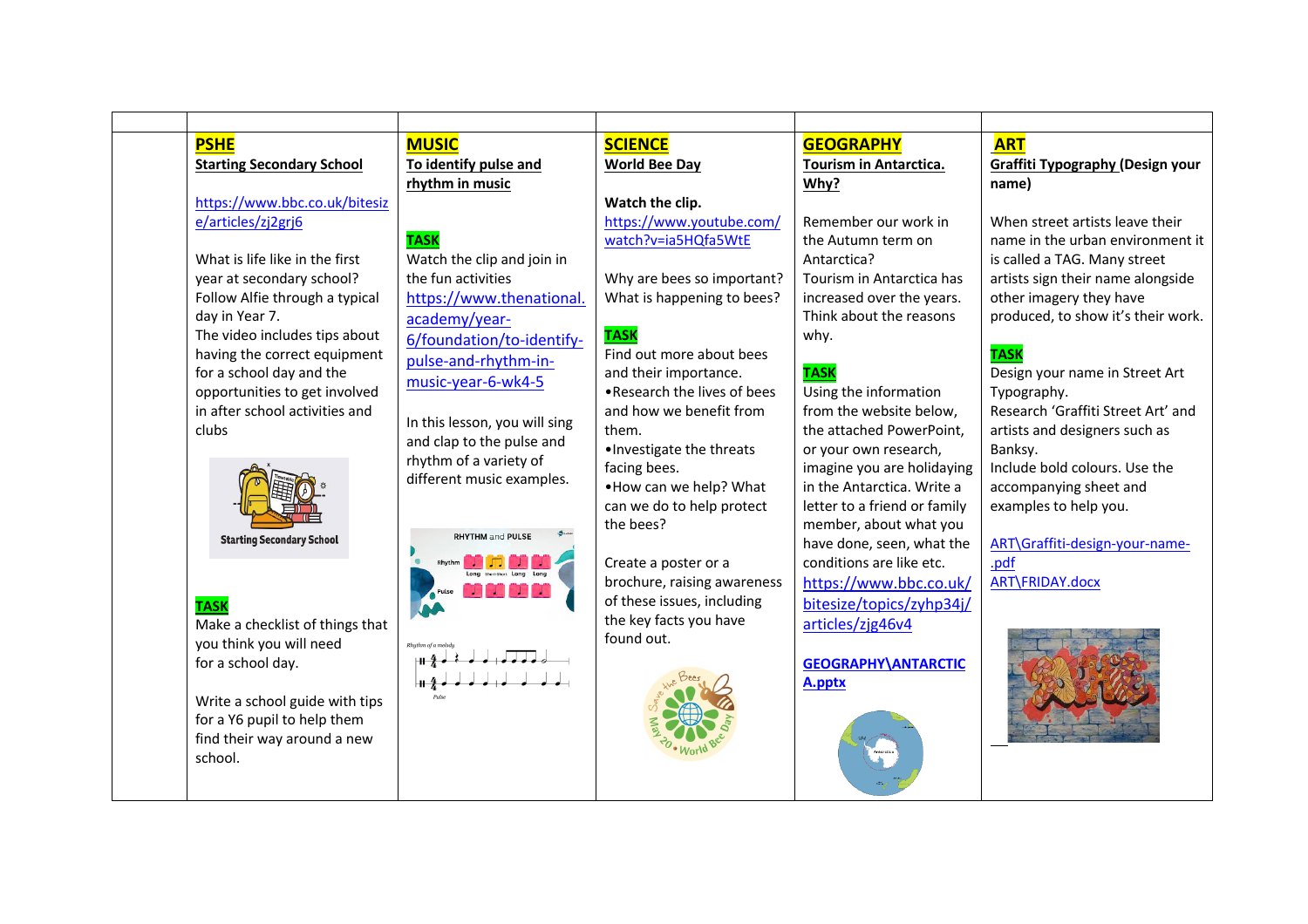| <b>PSHE</b>                                              | <b>MUSIC</b>                  | <b>SCIENCE</b>                                       | <b>GEOGRAPHY</b>             | <b>ART</b>                         |
|----------------------------------------------------------|-------------------------------|------------------------------------------------------|------------------------------|------------------------------------|
| <b>Starting Secondary School</b>                         | To identify pulse and         | <b>World Bee Day</b>                                 | Tourism in Antarctica.       | Graffiti Typography (Design your   |
|                                                          | rhythm in music               |                                                      | Why?                         | name)                              |
| https://www.bbc.co.uk/bitesiz                            |                               | Watch the clip.                                      |                              |                                    |
| e/articles/zj2grj6                                       |                               | https://www.youtube.com/                             | Remember our work in         | When street artists leave their    |
|                                                          | <b>TASK</b>                   | watch?v=ia5HQfa5WtE                                  | the Autumn term on           | name in the urban environment it   |
| What is life like in the first                           | Watch the clip and join in    |                                                      | Antarctica?                  | is called a TAG. Many street       |
| year at secondary school?                                | the fun activities            | Why are bees so important?                           | Tourism in Antarctica has    | artists sign their name alongside  |
| Follow Alfie through a typical                           | https://www.thenational.      | What is happening to bees?                           | increased over the years.    | other imagery they have            |
| day in Year 7.                                           | academy/year-                 |                                                      | Think about the reasons      | produced, to show it's their work. |
| The video includes tips about                            | 6/foundation/to-identify-     | <b>TASK</b><br>Find out more about bees              | why.                         | <b>TASK</b>                        |
| having the correct equipment<br>for a school day and the | pulse-and-rhythm-in-          |                                                      | <b>TASK</b>                  | Design your name in Street Art     |
| opportunities to get involved                            | music-year-6-wk4-5            | and their importance.<br>.Research the lives of bees | Using the information        | Typography.                        |
| in after school activities and                           |                               | and how we benefit from                              | from the website below,      | Research 'Graffiti Street Art' and |
| clubs                                                    | In this lesson, you will sing | them.                                                | the attached PowerPoint,     | artists and designers such as      |
|                                                          | and clap to the pulse and     | . Investigate the threats                            | or your own research,        | Banksy.                            |
|                                                          | rhythm of a variety of        | facing bees.                                         | imagine you are holidaying   | Include bold colours. Use the      |
|                                                          | different music examples.     | . How can we help? What                              | in the Antarctica. Write a   | accompanying sheet and             |
|                                                          |                               | can we do to help protect                            | letter to a friend or family | examples to help you.              |
|                                                          |                               | the bees?                                            | member, about what you       |                                    |
| <b>Starting Secondary School</b>                         | <b>RHYTHM and PULSE</b>       |                                                      | have done, seen, what the    | ART\Graffiti-design-your-name-     |
|                                                          |                               | Create a poster or a                                 | conditions are like etc.     | .pdf                               |
|                                                          |                               | brochure, raising awareness                          | https://www.bbc.co.uk/       | ART\FRIDAY.docx                    |
| <b>TASK</b>                                              |                               | of these issues, including                           | bitesize/topics/zyhp34j/     |                                    |
| Make a checklist of things that                          |                               | the key facts you have                               | articles/zjg46v4             |                                    |
| you think you will need                                  |                               | found out.                                           |                              |                                    |
| for a school day.                                        | ⊩⊪ - Զ                        |                                                      | <b>GEOGRAPHY\ANTARCTIC</b>   |                                    |
|                                                          |                               |                                                      | A.pptx                       |                                    |
| Write a school guide with tips                           |                               |                                                      |                              |                                    |
| for a Y6 pupil to help them                              |                               |                                                      |                              |                                    |
| find their way around a new                              |                               |                                                      |                              |                                    |
| school.                                                  |                               |                                                      |                              |                                    |
|                                                          |                               |                                                      |                              |                                    |